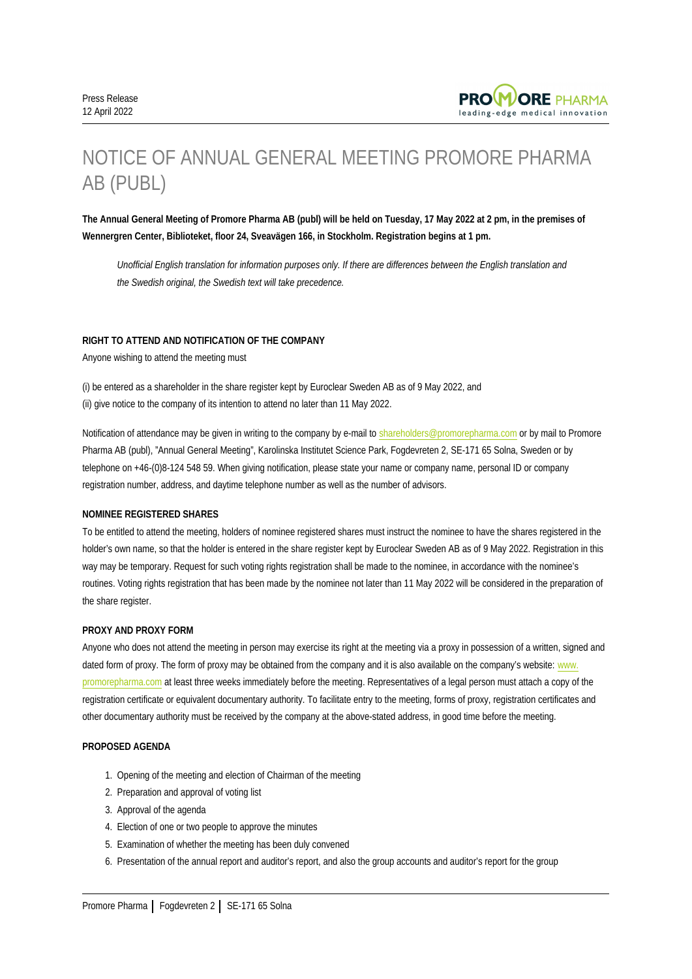

# NOTICE OF ANNUAL GENERAL MEETING PROMORE PHARMA AB (PUBL)

**The Annual General Meeting of Promore Pharma AB (publ) will be held on Tuesday, 17 May 2022 at 2 pm, in the premises of Wennergren Center, Biblioteket, floor 24, Sveavägen 166, in Stockholm. Registration begins at 1 pm.**

*Unofficial English translation for information purposes only. If there are differences between the English translation and the Swedish original, the Swedish text will take precedence.*

# **RIGHT TO ATTEND AND NOTIFICATION OF THE COMPANY**

Anyone wishing to attend the meeting must

(i) be entered as a shareholder in the share register kept by Euroclear Sweden AB as of 9 May 2022, and (ii) give notice to the company of its intention to attend no later than 11 May 2022.

Notification of attendance may be given in writing to the company by e-mail to [shareholders@promorepharma.com](mailto:shareholders@promorepharma.com) or by mail to Promore Pharma AB (publ), "Annual General Meeting", Karolinska Institutet Science Park, Fogdevreten 2, SE-171 65 Solna, Sweden or by telephone on +46-(0)8-124 548 59. When giving notification, please state your name or company name, personal ID or company registration number, address, and daytime telephone number as well as the number of advisors.

## **NOMINEE REGISTERED SHARES**

To be entitled to attend the meeting, holders of nominee registered shares must instruct the nominee to have the shares registered in the holder's own name, so that the holder is entered in the share register kept by Euroclear Sweden AB as of 9 May 2022. Registration in this way may be temporary. Request for such voting rights registration shall be made to the nominee, in accordance with the nominee's routines. Voting rights registration that has been made by the nominee not later than 11 May 2022 will be considered in the preparation of the share register.

# **PROXY AND PROXY FORM**

Anyone who does not attend the meeting in person may exercise its right at the meeting via a proxy in possession of a written, signed and dated form of proxy. The form of proxy may be obtained from the company and it is also available on the company's website: [www.](http://www.promorepharma.com) [promorepharma.com](http://www.promorepharma.com) at least three weeks immediately before the meeting. Representatives of a legal person must attach a copy of the registration certificate or equivalent documentary authority. To facilitate entry to the meeting, forms of proxy, registration certificates and other documentary authority must be received by the company at the above-stated address, in good time before the meeting.

# **PROPOSED AGENDA**

- 1. Opening of the meeting and election of Chairman of the meeting
- 2. Preparation and approval of voting list
- 3. Approval of the agenda
- 4. Election of one or two people to approve the minutes
- 5. Examination of whether the meeting has been duly convened
- 6. Presentation of the annual report and auditor's report, and also the group accounts and auditor's report for the group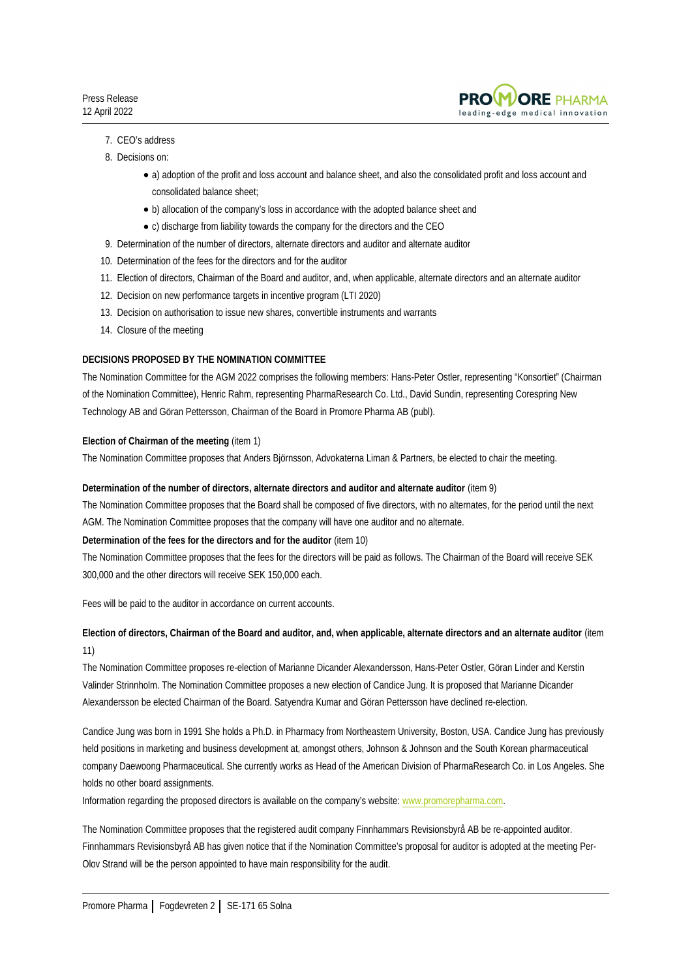

# 7. CEO's address

- 8. Decisions on:
	- a) adoption of the profit and loss account and balance sheet, and also the consolidated profit and loss account and consolidated balance sheet;
	- b) allocation of the company's loss in accordance with the adopted balance sheet and
	- c) discharge from liability towards the company for the directors and the CEO
- 9. Determination of the number of directors, alternate directors and auditor and alternate auditor
- 10. Determination of the fees for the directors and for the auditor
- 11. Election of directors, Chairman of the Board and auditor, and, when applicable, alternate directors and an alternate auditor
- 12. Decision on new performance targets in incentive program (LTI 2020)
- 13. Decision on authorisation to issue new shares, convertible instruments and warrants
- 14. Closure of the meeting

## **DECISIONS PROPOSED BY THE NOMINATION COMMITTEE**

The Nomination Committee for the AGM 2022 comprises the following members: Hans-Peter Ostler, representing "Konsortiet" (Chairman of the Nomination Committee), Henric Rahm, representing PharmaResearch Co. Ltd., David Sundin, representing Corespring New Technology AB and Göran Pettersson, Chairman of the Board in Promore Pharma AB (publ).

# **Election of Chairman of the meeting** (item 1)

The Nomination Committee proposes that Anders Björnsson, Advokaterna Liman & Partners, be elected to chair the meeting.

## **Determination of the number of directors, alternate directors and auditor and alternate auditor** (item 9)

The Nomination Committee proposes that the Board shall be composed of five directors, with no alternates, for the period until the next AGM. The Nomination Committee proposes that the company will have one auditor and no alternate.

## **Determination of the fees for the directors and for the auditor** (item 10)

The Nomination Committee proposes that the fees for the directors will be paid as follows. The Chairman of the Board will receive SEK 300,000 and the other directors will receive SEK 150,000 each.

Fees will be paid to the auditor in accordance on current accounts.

# **Election of directors, Chairman of the Board and auditor, and, when applicable, alternate directors and an alternate auditor** (item 11)

The Nomination Committee proposes re-election of Marianne Dicander Alexandersson, Hans-Peter Ostler, Göran Linder and Kerstin Valinder Strinnholm. The Nomination Committee proposes a new election of Candice Jung. It is proposed that Marianne Dicander Alexandersson be elected Chairman of the Board. Satyendra Kumar and Göran Pettersson have declined re-election.

Candice Jung was born in 1991 She holds a Ph.D. in Pharmacy from Northeastern University, Boston, USA. Candice Jung has previously held positions in marketing and business development at, amongst others, Johnson & Johnson and the South Korean pharmaceutical company Daewoong Pharmaceutical. She currently works as Head of the American Division of PharmaResearch Co. in Los Angeles. She holds no other board assignments.

Information regarding the proposed directors is available on the company's website: [www.promorepharma.com.](http://www.promorepharma.com/)

The Nomination Committee proposes that the registered audit company Finnhammars Revisionsbyrå AB be re-appointed auditor. Finnhammars Revisionsbyrå AB has given notice that if the Nomination Committee's proposal for auditor is adopted at the meeting Per-Olov Strand will be the person appointed to have main responsibility for the audit.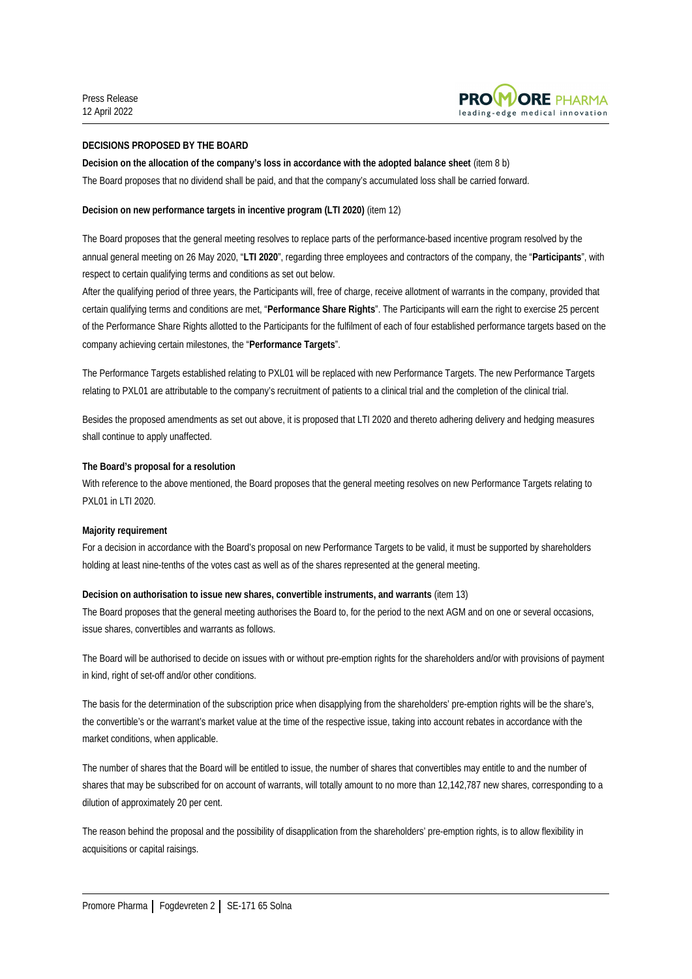

# **DECISIONS PROPOSED BY THE BOARD**

**Decision on the allocation of the company's loss in accordance with the adopted balance sheet** (item 8 b)

The Board proposes that no dividend shall be paid, and that the company's accumulated loss shall be carried forward.

# **Decision on new performance targets in incentive program (LTI 2020)** (item 12)

The Board proposes that the general meeting resolves to replace parts of the performance-based incentive program resolved by the annual general meeting on 26 May 2020, "**LTI 2020**", regarding three employees and contractors of the company, the "**Participants**", with respect to certain qualifying terms and conditions as set out below.

After the qualifying period of three years, the Participants will, free of charge, receive allotment of warrants in the company, provided that certain qualifying terms and conditions are met, "**Performance Share Rights**". The Participants will earn the right to exercise 25 percent of the Performance Share Rights allotted to the Participants for the fulfilment of each of four established performance targets based on the company achieving certain milestones, the "**Performance Targets**".

The Performance Targets established relating to PXL01 will be replaced with new Performance Targets. The new Performance Targets relating to PXL01 are attributable to the company's recruitment of patients to a clinical trial and the completion of the clinical trial.

Besides the proposed amendments as set out above, it is proposed that LTI 2020 and thereto adhering delivery and hedging measures shall continue to apply unaffected.

# **The Board's proposal for a resolution**

With reference to the above mentioned, the Board proposes that the general meeting resolves on new Performance Targets relating to PXL01 in LTI 2020.

## **Majority requirement**

For a decision in accordance with the Board's proposal on new Performance Targets to be valid, it must be supported by shareholders holding at least nine-tenths of the votes cast as well as of the shares represented at the general meeting.

## **Decision on authorisation to issue new shares, convertible instruments, and warrants** (item 13)

The Board proposes that the general meeting authorises the Board to, for the period to the next AGM and on one or several occasions, issue shares, convertibles and warrants as follows.

The Board will be authorised to decide on issues with or without pre-emption rights for the shareholders and/or with provisions of payment in kind, right of set-off and/or other conditions.

The basis for the determination of the subscription price when disapplying from the shareholders' pre-emption rights will be the share's, the convertible's or the warrant's market value at the time of the respective issue, taking into account rebates in accordance with the market conditions, when applicable.

The number of shares that the Board will be entitled to issue, the number of shares that convertibles may entitle to and the number of shares that may be subscribed for on account of warrants, will totally amount to no more than 12,142,787 new shares, corresponding to a dilution of approximately 20 per cent.

The reason behind the proposal and the possibility of disapplication from the shareholders' pre-emption rights, is to allow flexibility in acquisitions or capital raisings.